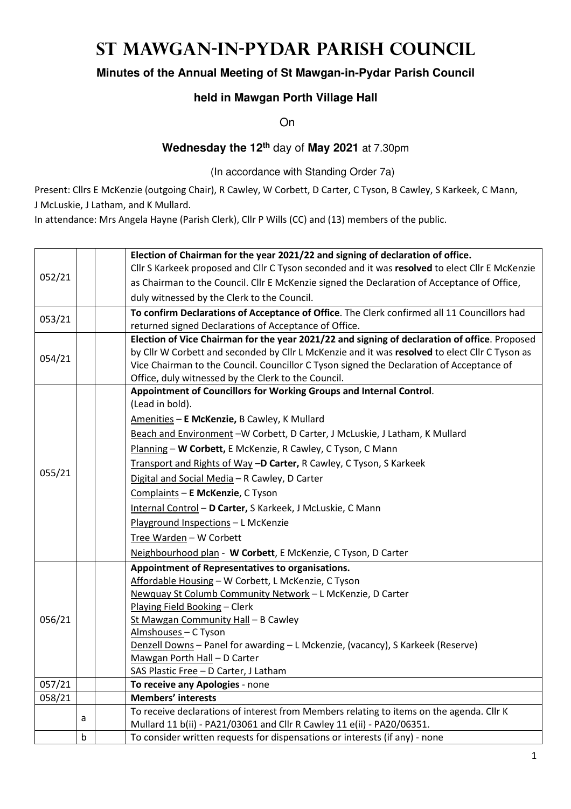## **St Mawgan-in-Pydar Parish Council**

## **Minutes of the Annual Meeting of St Mawgan-in-Pydar Parish Council**

## **held in Mawgan Porth Village Hall**

On

## **Wednesday the 12th** day of **May 2021** at 7.30pm

(In accordance with Standing Order 7a)

Present: Cllrs E McKenzie (outgoing Chair), R Cawley, W Corbett, D Carter, C Tyson, B Cawley, S Karkeek, C Mann, J McLuskie, J Latham, and K Mullard.

In attendance: Mrs Angela Hayne (Parish Clerk), Cllr P Wills (CC) and (13) members of the public.

|        |   | Election of Chairman for the year 2021/22 and signing of declaration of office.                |
|--------|---|------------------------------------------------------------------------------------------------|
|        |   | Cllr S Karkeek proposed and Cllr C Tyson seconded and it was resolved to elect Cllr E McKenzie |
| 052/21 |   | as Chairman to the Council. Cllr E McKenzie signed the Declaration of Acceptance of Office,    |
|        |   | duly witnessed by the Clerk to the Council.                                                    |
| 053/21 |   | To confirm Declarations of Acceptance of Office. The Clerk confirmed all 11 Councillors had    |
|        |   | returned signed Declarations of Acceptance of Office.                                          |
|        |   | Election of Vice Chairman for the year 2021/22 and signing of declaration of office. Proposed  |
| 054/21 |   | by Cllr W Corbett and seconded by Cllr L McKenzie and it was resolved to elect Cllr C Tyson as |
|        |   | Vice Chairman to the Council. Councillor C Tyson signed the Declaration of Acceptance of       |
|        |   | Office, duly witnessed by the Clerk to the Council.                                            |
|        |   | Appointment of Councillors for Working Groups and Internal Control.                            |
|        |   | (Lead in bold).                                                                                |
|        |   | Amenities - E McKenzie, B Cawley, K Mullard                                                    |
|        |   | Beach and Environment -W Corbett, D Carter, J McLuskie, J Latham, K Mullard                    |
|        |   | Planning - W Corbett, E McKenzie, R Cawley, C Tyson, C Mann                                    |
|        |   | Transport and Rights of Way -D Carter, R Cawley, C Tyson, S Karkeek                            |
| 055/21 |   | Digital and Social Media - R Cawley, D Carter                                                  |
|        |   | Complaints - E McKenzie, C Tyson                                                               |
|        |   | Internal Control - D Carter, S Karkeek, J McLuskie, C Mann                                     |
|        |   | Playground Inspections - L McKenzie                                                            |
|        |   | Tree Warden - W Corbett                                                                        |
|        |   | Neighbourhood plan - W Corbett, E McKenzie, C Tyson, D Carter                                  |
|        |   | Appointment of Representatives to organisations.                                               |
|        |   | Affordable Housing - W Corbett, L McKenzie, C Tyson                                            |
|        |   | Newquay St Columb Community Network - L McKenzie, D Carter                                     |
|        |   | Playing Field Booking - Clerk                                                                  |
| 056/21 |   | St Mawgan Community Hall - B Cawley                                                            |
|        |   | Almshouses - C Tyson                                                                           |
|        |   | Denzell Downs - Panel for awarding - L Mckenzie, (vacancy), S Karkeek (Reserve)                |
|        |   | Mawgan Porth Hall - D Carter                                                                   |
| 057/21 |   | SAS Plastic Free - D Carter, J Latham<br>To receive any Apologies - none                       |
| 058/21 |   | <b>Members' interests</b>                                                                      |
|        |   | To receive declarations of interest from Members relating to items on the agenda. Cllr K       |
|        | a | Mullard 11 b(ii) - PA21/03061 and Cllr R Cawley 11 e(ii) - PA20/06351.                         |
|        | b | To consider written requests for dispensations or interests (if any) - none                    |
|        |   |                                                                                                |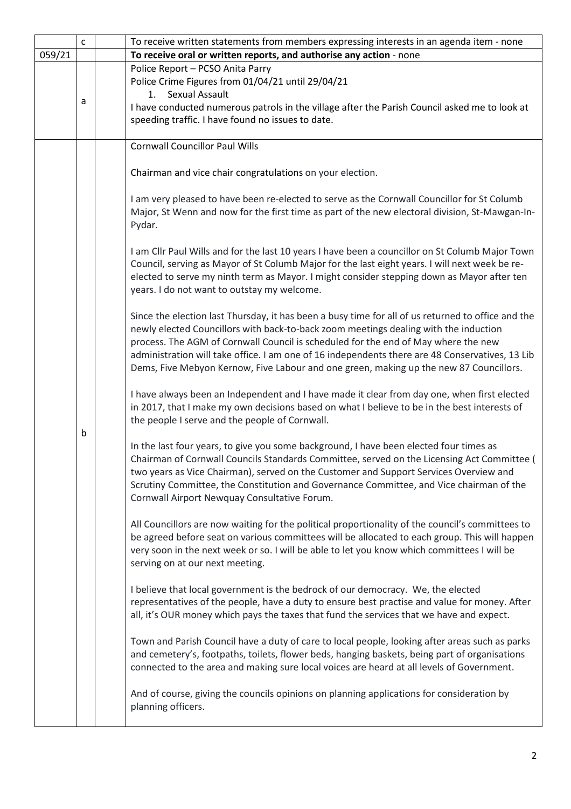|        | $\mathsf{C}$ |  | To receive written statements from members expressing interests in an agenda item - none                                                                                                                                                                                                                                                                                                                                                                                      |  |  |  |
|--------|--------------|--|-------------------------------------------------------------------------------------------------------------------------------------------------------------------------------------------------------------------------------------------------------------------------------------------------------------------------------------------------------------------------------------------------------------------------------------------------------------------------------|--|--|--|
| 059/21 |              |  | To receive oral or written reports, and authorise any action - none                                                                                                                                                                                                                                                                                                                                                                                                           |  |  |  |
|        | a            |  | Police Report - PCSO Anita Parry<br>Police Crime Figures from 01/04/21 until 29/04/21<br><b>Sexual Assault</b><br>1.<br>I have conducted numerous patrols in the village after the Parish Council asked me to look at<br>speeding traffic. I have found no issues to date.                                                                                                                                                                                                    |  |  |  |
|        |              |  | <b>Cornwall Councillor Paul Wills</b>                                                                                                                                                                                                                                                                                                                                                                                                                                         |  |  |  |
|        |              |  | Chairman and vice chair congratulations on your election.                                                                                                                                                                                                                                                                                                                                                                                                                     |  |  |  |
|        | b            |  | I am very pleased to have been re-elected to serve as the Cornwall Councillor for St Columb<br>Major, St Wenn and now for the first time as part of the new electoral division, St-Mawgan-In-<br>Pydar.                                                                                                                                                                                                                                                                       |  |  |  |
|        |              |  | I am Cllr Paul Wills and for the last 10 years I have been a councillor on St Columb Major Town<br>Council, serving as Mayor of St Columb Major for the last eight years. I will next week be re-<br>elected to serve my ninth term as Mayor. I might consider stepping down as Mayor after ten<br>years. I do not want to outstay my welcome.                                                                                                                                |  |  |  |
|        |              |  | Since the election last Thursday, it has been a busy time for all of us returned to office and the<br>newly elected Councillors with back-to-back zoom meetings dealing with the induction<br>process. The AGM of Cornwall Council is scheduled for the end of May where the new<br>administration will take office. I am one of 16 independents there are 48 Conservatives, 13 Lib<br>Dems, Five Mebyon Kernow, Five Labour and one green, making up the new 87 Councillors. |  |  |  |
|        |              |  | I have always been an Independent and I have made it clear from day one, when first elected<br>in 2017, that I make my own decisions based on what I believe to be in the best interests of<br>the people I serve and the people of Cornwall.                                                                                                                                                                                                                                 |  |  |  |
|        |              |  | In the last four years, to give you some background, I have been elected four times as<br>Chairman of Cornwall Councils Standards Committee, served on the Licensing Act Committee (<br>two years as Vice Chairman), served on the Customer and Support Services Overview and<br>Scrutiny Committee, the Constitution and Governance Committee, and Vice chairman of the<br>Cornwall Airport Newquay Consultative Forum.                                                      |  |  |  |
|        |              |  | All Councillors are now waiting for the political proportionality of the council's committees to<br>be agreed before seat on various committees will be allocated to each group. This will happen<br>very soon in the next week or so. I will be able to let you know which committees I will be<br>serving on at our next meeting.                                                                                                                                           |  |  |  |
|        |              |  | I believe that local government is the bedrock of our democracy. We, the elected<br>representatives of the people, have a duty to ensure best practise and value for money. After<br>all, it's OUR money which pays the taxes that fund the services that we have and expect.                                                                                                                                                                                                 |  |  |  |
|        |              |  | Town and Parish Council have a duty of care to local people, looking after areas such as parks<br>and cemetery's, footpaths, toilets, flower beds, hanging baskets, being part of organisations<br>connected to the area and making sure local voices are heard at all levels of Government.                                                                                                                                                                                  |  |  |  |
|        |              |  | And of course, giving the councils opinions on planning applications for consideration by<br>planning officers.                                                                                                                                                                                                                                                                                                                                                               |  |  |  |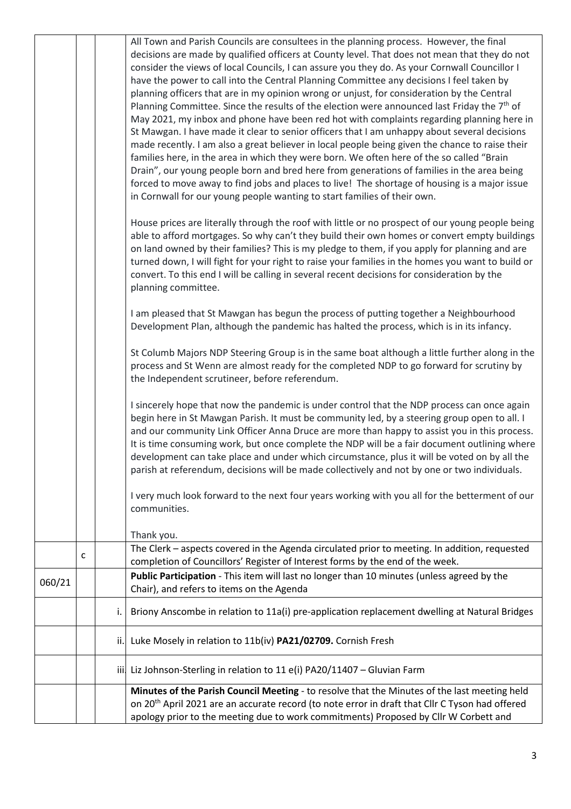|        |   |     | All Town and Parish Councils are consultees in the planning process. However, the final<br>decisions are made by qualified officers at County level. That does not mean that they do not<br>consider the views of local Councils, I can assure you they do. As your Cornwall Councillor I<br>have the power to call into the Central Planning Committee any decisions I feel taken by<br>planning officers that are in my opinion wrong or unjust, for consideration by the Central<br>Planning Committee. Since the results of the election were announced last Friday the 7 <sup>th</sup> of<br>May 2021, my inbox and phone have been red hot with complaints regarding planning here in<br>St Mawgan. I have made it clear to senior officers that I am unhappy about several decisions<br>made recently. I am also a great believer in local people being given the chance to raise their<br>families here, in the area in which they were born. We often here of the so called "Brain<br>Drain", our young people born and bred here from generations of families in the area being<br>forced to move away to find jobs and places to live! The shortage of housing is a major issue<br>in Cornwall for our young people wanting to start families of their own.<br>House prices are literally through the roof with little or no prospect of our young people being<br>able to afford mortgages. So why can't they build their own homes or convert empty buildings<br>on land owned by their families? This is my pledge to them, if you apply for planning and are<br>turned down, I will fight for your right to raise your families in the homes you want to build or<br>convert. To this end I will be calling in several recent decisions for consideration by the<br>planning committee.<br>I am pleased that St Mawgan has begun the process of putting together a Neighbourhood<br>Development Plan, although the pandemic has halted the process, which is in its infancy.<br>St Columb Majors NDP Steering Group is in the same boat although a little further along in the<br>process and St Wenn are almost ready for the completed NDP to go forward for scrutiny by<br>the Independent scrutineer, before referendum. |
|--------|---|-----|---------------------------------------------------------------------------------------------------------------------------------------------------------------------------------------------------------------------------------------------------------------------------------------------------------------------------------------------------------------------------------------------------------------------------------------------------------------------------------------------------------------------------------------------------------------------------------------------------------------------------------------------------------------------------------------------------------------------------------------------------------------------------------------------------------------------------------------------------------------------------------------------------------------------------------------------------------------------------------------------------------------------------------------------------------------------------------------------------------------------------------------------------------------------------------------------------------------------------------------------------------------------------------------------------------------------------------------------------------------------------------------------------------------------------------------------------------------------------------------------------------------------------------------------------------------------------------------------------------------------------------------------------------------------------------------------------------------------------------------------------------------------------------------------------------------------------------------------------------------------------------------------------------------------------------------------------------------------------------------------------------------------------------------------------------------------------------------------------------------------------------------------------------------------------------------------------------------------------------------------|
|        |   |     | I sincerely hope that now the pandemic is under control that the NDP process can once again<br>begin here in St Mawgan Parish. It must be community led, by a steering group open to all. I<br>and our community Link Officer Anna Druce are more than happy to assist you in this process.<br>It is time consuming work, but once complete the NDP will be a fair document outlining where<br>development can take place and under which circumstance, plus it will be voted on by all the<br>parish at referendum, decisions will be made collectively and not by one or two individuals.                                                                                                                                                                                                                                                                                                                                                                                                                                                                                                                                                                                                                                                                                                                                                                                                                                                                                                                                                                                                                                                                                                                                                                                                                                                                                                                                                                                                                                                                                                                                                                                                                                                 |
|        |   |     | I very much look forward to the next four years working with you all for the betterment of our<br>communities.                                                                                                                                                                                                                                                                                                                                                                                                                                                                                                                                                                                                                                                                                                                                                                                                                                                                                                                                                                                                                                                                                                                                                                                                                                                                                                                                                                                                                                                                                                                                                                                                                                                                                                                                                                                                                                                                                                                                                                                                                                                                                                                              |
|        |   |     | Thank you.                                                                                                                                                                                                                                                                                                                                                                                                                                                                                                                                                                                                                                                                                                                                                                                                                                                                                                                                                                                                                                                                                                                                                                                                                                                                                                                                                                                                                                                                                                                                                                                                                                                                                                                                                                                                                                                                                                                                                                                                                                                                                                                                                                                                                                  |
|        | c |     | The Clerk - aspects covered in the Agenda circulated prior to meeting. In addition, requested<br>completion of Councillors' Register of Interest forms by the end of the week.                                                                                                                                                                                                                                                                                                                                                                                                                                                                                                                                                                                                                                                                                                                                                                                                                                                                                                                                                                                                                                                                                                                                                                                                                                                                                                                                                                                                                                                                                                                                                                                                                                                                                                                                                                                                                                                                                                                                                                                                                                                              |
| 060/21 |   |     | Public Participation - This item will last no longer than 10 minutes (unless agreed by the<br>Chair), and refers to items on the Agenda                                                                                                                                                                                                                                                                                                                                                                                                                                                                                                                                                                                                                                                                                                                                                                                                                                                                                                                                                                                                                                                                                                                                                                                                                                                                                                                                                                                                                                                                                                                                                                                                                                                                                                                                                                                                                                                                                                                                                                                                                                                                                                     |
|        |   | i.  | Briony Anscombe in relation to 11a(i) pre-application replacement dwelling at Natural Bridges                                                                                                                                                                                                                                                                                                                                                                                                                                                                                                                                                                                                                                                                                                                                                                                                                                                                                                                                                                                                                                                                                                                                                                                                                                                                                                                                                                                                                                                                                                                                                                                                                                                                                                                                                                                                                                                                                                                                                                                                                                                                                                                                               |
|        |   | ii. | Luke Mosely in relation to 11b(iv) PA21/02709. Cornish Fresh                                                                                                                                                                                                                                                                                                                                                                                                                                                                                                                                                                                                                                                                                                                                                                                                                                                                                                                                                                                                                                                                                                                                                                                                                                                                                                                                                                                                                                                                                                                                                                                                                                                                                                                                                                                                                                                                                                                                                                                                                                                                                                                                                                                |
|        |   | iii | Liz Johnson-Sterling in relation to 11 e(i) PA20/11407 - Gluvian Farm                                                                                                                                                                                                                                                                                                                                                                                                                                                                                                                                                                                                                                                                                                                                                                                                                                                                                                                                                                                                                                                                                                                                                                                                                                                                                                                                                                                                                                                                                                                                                                                                                                                                                                                                                                                                                                                                                                                                                                                                                                                                                                                                                                       |
|        |   |     | Minutes of the Parish Council Meeting - to resolve that the Minutes of the last meeting held<br>on 20 <sup>th</sup> April 2021 are an accurate record (to note error in draft that Cllr C Tyson had offered<br>apology prior to the meeting due to work commitments) Proposed by Cllr W Corbett and                                                                                                                                                                                                                                                                                                                                                                                                                                                                                                                                                                                                                                                                                                                                                                                                                                                                                                                                                                                                                                                                                                                                                                                                                                                                                                                                                                                                                                                                                                                                                                                                                                                                                                                                                                                                                                                                                                                                         |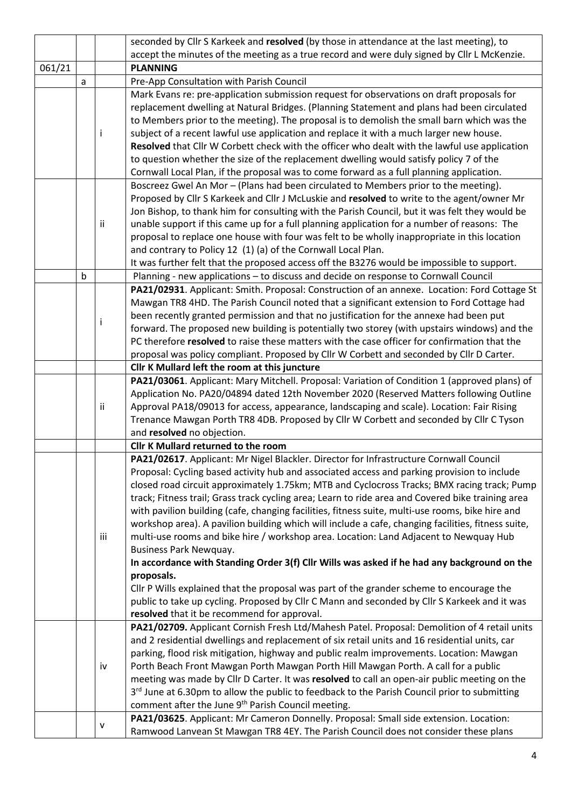|        |                                                                                                                                                                                                   |     | seconded by Cllr S Karkeek and resolved (by those in attendance at the last meeting), to           |  |  |  |  |
|--------|---------------------------------------------------------------------------------------------------------------------------------------------------------------------------------------------------|-----|----------------------------------------------------------------------------------------------------|--|--|--|--|
|        |                                                                                                                                                                                                   |     | accept the minutes of the meeting as a true record and were duly signed by Cllr L McKenzie.        |  |  |  |  |
| 061/21 |                                                                                                                                                                                                   |     | <b>PLANNING</b>                                                                                    |  |  |  |  |
|        | a                                                                                                                                                                                                 |     | Pre-App Consultation with Parish Council                                                           |  |  |  |  |
|        |                                                                                                                                                                                                   |     | Mark Evans re: pre-application submission request for observations on draft proposals for          |  |  |  |  |
|        |                                                                                                                                                                                                   |     | replacement dwelling at Natural Bridges. (Planning Statement and plans had been circulated         |  |  |  |  |
|        |                                                                                                                                                                                                   |     | to Members prior to the meeting). The proposal is to demolish the small barn which was the         |  |  |  |  |
|        |                                                                                                                                                                                                   | j.  | subject of a recent lawful use application and replace it with a much larger new house.            |  |  |  |  |
|        |                                                                                                                                                                                                   |     | Resolved that Cllr W Corbett check with the officer who dealt with the lawful use application      |  |  |  |  |
|        |                                                                                                                                                                                                   |     | to question whether the size of the replacement dwelling would satisfy policy 7 of the             |  |  |  |  |
|        |                                                                                                                                                                                                   |     | Cornwall Local Plan, if the proposal was to come forward as a full planning application.           |  |  |  |  |
|        |                                                                                                                                                                                                   |     | Boscreez Gwel An Mor - (Plans had been circulated to Members prior to the meeting).                |  |  |  |  |
|        |                                                                                                                                                                                                   |     | Proposed by Cllr S Karkeek and Cllr J McLuskie and resolved to write to the agent/owner Mr         |  |  |  |  |
|        |                                                                                                                                                                                                   |     | Jon Bishop, to thank him for consulting with the Parish Council, but it was felt they would be     |  |  |  |  |
|        |                                                                                                                                                                                                   | ii  | unable support if this came up for a full planning application for a number of reasons: The        |  |  |  |  |
|        |                                                                                                                                                                                                   |     | proposal to replace one house with four was felt to be wholly inappropriate in this location       |  |  |  |  |
|        |                                                                                                                                                                                                   |     | and contrary to Policy 12 (1) (a) of the Cornwall Local Plan.                                      |  |  |  |  |
|        |                                                                                                                                                                                                   |     | It was further felt that the proposed access off the B3276 would be impossible to support.         |  |  |  |  |
|        | b                                                                                                                                                                                                 |     | Planning - new applications - to discuss and decide on response to Cornwall Council                |  |  |  |  |
|        |                                                                                                                                                                                                   |     | PA21/02931. Applicant: Smith. Proposal: Construction of an annexe. Location: Ford Cottage St       |  |  |  |  |
|        |                                                                                                                                                                                                   |     | Mawgan TR8 4HD. The Parish Council noted that a significant extension to Ford Cottage had          |  |  |  |  |
|        |                                                                                                                                                                                                   |     | been recently granted permission and that no justification for the annexe had been put             |  |  |  |  |
|        | Ť<br>forward. The proposed new building is potentially two storey (with upstairs windows) and the<br>PC therefore resolved to raise these matters with the case officer for confirmation that the |     |                                                                                                    |  |  |  |  |
|        |                                                                                                                                                                                                   |     |                                                                                                    |  |  |  |  |
|        |                                                                                                                                                                                                   |     | proposal was policy compliant. Proposed by Cllr W Corbett and seconded by Cllr D Carter.           |  |  |  |  |
|        |                                                                                                                                                                                                   |     | Cllr K Mullard left the room at this juncture                                                      |  |  |  |  |
|        |                                                                                                                                                                                                   |     | PA21/03061. Applicant: Mary Mitchell. Proposal: Variation of Condition 1 (approved plans) of       |  |  |  |  |
|        |                                                                                                                                                                                                   |     | Application No. PA20/04894 dated 12th November 2020 (Reserved Matters following Outline            |  |  |  |  |
|        |                                                                                                                                                                                                   | ii  | Approval PA18/09013 for access, appearance, landscaping and scale). Location: Fair Rising          |  |  |  |  |
|        |                                                                                                                                                                                                   |     | Trenance Mawgan Porth TR8 4DB. Proposed by Cllr W Corbett and seconded by Cllr C Tyson             |  |  |  |  |
|        |                                                                                                                                                                                                   |     | and resolved no objection.                                                                         |  |  |  |  |
|        |                                                                                                                                                                                                   |     | <b>Cllr K Mullard returned to the room</b>                                                         |  |  |  |  |
|        |                                                                                                                                                                                                   |     | PA21/02617. Applicant: Mr Nigel Blackler. Director for Infrastructure Cornwall Council             |  |  |  |  |
|        |                                                                                                                                                                                                   |     | Proposal: Cycling based activity hub and associated access and parking provision to include        |  |  |  |  |
|        |                                                                                                                                                                                                   |     | closed road circuit approximately 1.75km; MTB and Cyclocross Tracks; BMX racing track; Pump        |  |  |  |  |
|        |                                                                                                                                                                                                   |     | track; Fitness trail; Grass track cycling area; Learn to ride area and Covered bike training area  |  |  |  |  |
|        |                                                                                                                                                                                                   |     | with pavilion building (cafe, changing facilities, fitness suite, multi-use rooms, bike hire and   |  |  |  |  |
|        |                                                                                                                                                                                                   |     | workshop area). A pavilion building which will include a cafe, changing facilities, fitness suite, |  |  |  |  |
|        |                                                                                                                                                                                                   | iii | multi-use rooms and bike hire / workshop area. Location: Land Adjacent to Newquay Hub              |  |  |  |  |
|        |                                                                                                                                                                                                   |     | <b>Business Park Newquay.</b>                                                                      |  |  |  |  |
|        |                                                                                                                                                                                                   |     | In accordance with Standing Order 3(f) Cllr Wills was asked if he had any background on the        |  |  |  |  |
|        |                                                                                                                                                                                                   |     | proposals.                                                                                         |  |  |  |  |
|        |                                                                                                                                                                                                   |     | Cllr P Wills explained that the proposal was part of the grander scheme to encourage the           |  |  |  |  |
|        |                                                                                                                                                                                                   |     | public to take up cycling. Proposed by Cllr C Mann and seconded by Cllr S Karkeek and it was       |  |  |  |  |
|        |                                                                                                                                                                                                   |     | resolved that it be recommend for approval.                                                        |  |  |  |  |
|        |                                                                                                                                                                                                   |     | PA21/02709. Applicant Cornish Fresh Ltd/Mahesh Patel. Proposal: Demolition of 4 retail units       |  |  |  |  |
|        |                                                                                                                                                                                                   |     | and 2 residential dwellings and replacement of six retail units and 16 residential units, car      |  |  |  |  |
|        |                                                                                                                                                                                                   |     | parking, flood risk mitigation, highway and public realm improvements. Location: Mawgan            |  |  |  |  |
|        |                                                                                                                                                                                                   | iv  | Porth Beach Front Mawgan Porth Mawgan Porth Hill Mawgan Porth. A call for a public                 |  |  |  |  |
|        |                                                                                                                                                                                                   |     | meeting was made by Cllr D Carter. It was resolved to call an open-air public meeting on the       |  |  |  |  |
|        |                                                                                                                                                                                                   |     | 3rd June at 6.30pm to allow the public to feedback to the Parish Council prior to submitting       |  |  |  |  |
|        |                                                                                                                                                                                                   |     | comment after the June 9 <sup>th</sup> Parish Council meeting.                                     |  |  |  |  |
|        |                                                                                                                                                                                                   |     | PA21/03625. Applicant: Mr Cameron Donnelly. Proposal: Small side extension. Location:              |  |  |  |  |
|        |                                                                                                                                                                                                   | v   | Ramwood Lanvean St Mawgan TR8 4EY. The Parish Council does not consider these plans                |  |  |  |  |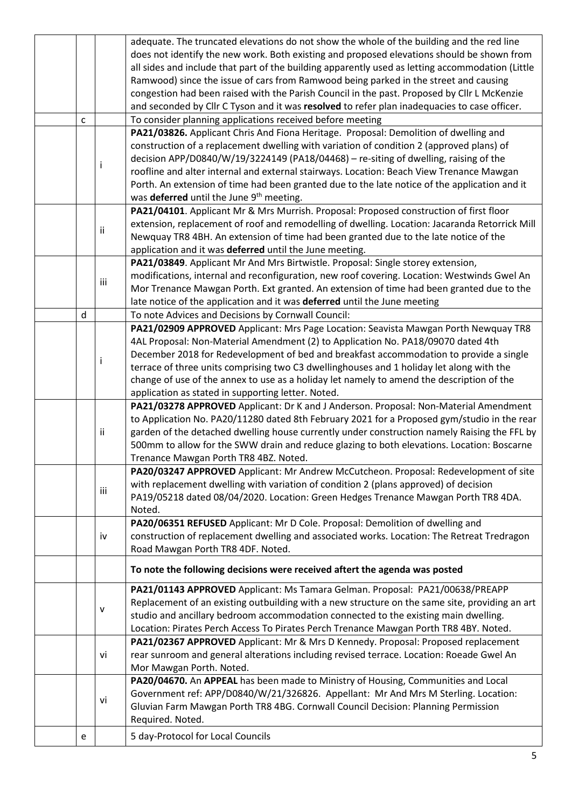|    |                                                                                                                                                 |                          | adequate. The truncated elevations do not show the whole of the building and the red line        |  |  |  |
|----|-------------------------------------------------------------------------------------------------------------------------------------------------|--------------------------|--------------------------------------------------------------------------------------------------|--|--|--|
|    |                                                                                                                                                 |                          | does not identify the new work. Both existing and proposed elevations should be shown from       |  |  |  |
|    |                                                                                                                                                 |                          | all sides and include that part of the building apparently used as letting accommodation (Little |  |  |  |
|    |                                                                                                                                                 |                          | Ramwood) since the issue of cars from Ramwood being parked in the street and causing             |  |  |  |
|    |                                                                                                                                                 |                          | congestion had been raised with the Parish Council in the past. Proposed by Cllr L McKenzie      |  |  |  |
|    |                                                                                                                                                 |                          | and seconded by Cllr C Tyson and it was resolved to refer plan inadequacies to case officer.     |  |  |  |
|    | $\mathsf{C}$                                                                                                                                    |                          | To consider planning applications received before meeting                                        |  |  |  |
|    |                                                                                                                                                 |                          | PA21/03826. Applicant Chris And Fiona Heritage. Proposal: Demolition of dwelling and             |  |  |  |
|    |                                                                                                                                                 |                          | construction of a replacement dwelling with variation of condition 2 (approved plans) of         |  |  |  |
|    |                                                                                                                                                 |                          | decision APP/D0840/W/19/3224149 (PA18/04468) - re-siting of dwelling, raising of the             |  |  |  |
|    |                                                                                                                                                 | j.                       | roofline and alter internal and external stairways. Location: Beach View Trenance Mawgan         |  |  |  |
|    |                                                                                                                                                 |                          | Porth. An extension of time had been granted due to the late notice of the application and it    |  |  |  |
|    |                                                                                                                                                 |                          | was deferred until the June 9 <sup>th</sup> meeting.                                             |  |  |  |
|    |                                                                                                                                                 |                          | PA21/04101. Applicant Mr & Mrs Murrish. Proposal: Proposed construction of first floor           |  |  |  |
|    |                                                                                                                                                 |                          | extension, replacement of roof and remodelling of dwelling. Location: Jacaranda Retorrick Mill   |  |  |  |
|    |                                                                                                                                                 | ii.                      | Newquay TR8 4BH. An extension of time had been granted due to the late notice of the             |  |  |  |
|    |                                                                                                                                                 |                          | application and it was deferred until the June meeting.                                          |  |  |  |
|    |                                                                                                                                                 |                          | PA21/03849. Applicant Mr And Mrs Birtwistle. Proposal: Single storey extension,                  |  |  |  |
|    |                                                                                                                                                 |                          | modifications, internal and reconfiguration, new roof covering. Location: Westwinds Gwel An      |  |  |  |
|    |                                                                                                                                                 | iii                      | Mor Trenance Mawgan Porth. Ext granted. An extension of time had been granted due to the         |  |  |  |
|    |                                                                                                                                                 |                          | late notice of the application and it was deferred until the June meeting                        |  |  |  |
|    | d                                                                                                                                               |                          | To note Advices and Decisions by Cornwall Council:                                               |  |  |  |
|    |                                                                                                                                                 |                          | PA21/02909 APPROVED Applicant: Mrs Page Location: Seavista Mawgan Porth Newquay TR8              |  |  |  |
|    |                                                                                                                                                 |                          | 4AL Proposal: Non-Material Amendment (2) to Application No. PA18/09070 dated 4th                 |  |  |  |
|    |                                                                                                                                                 |                          | December 2018 for Redevelopment of bed and breakfast accommodation to provide a single           |  |  |  |
|    |                                                                                                                                                 | Ť                        | terrace of three units comprising two C3 dwellinghouses and 1 holiday let along with the         |  |  |  |
|    | change of use of the annex to use as a holiday let namely to amend the description of the<br>application as stated in supporting letter. Noted. |                          |                                                                                                  |  |  |  |
|    |                                                                                                                                                 |                          |                                                                                                  |  |  |  |
|    | PA21/03278 APPROVED Applicant: Dr K and J Anderson. Proposal: Non-Material Amendment                                                            |                          |                                                                                                  |  |  |  |
|    |                                                                                                                                                 |                          | to Application No. PA20/11280 dated 8th February 2021 for a Proposed gym/studio in the rear      |  |  |  |
|    |                                                                                                                                                 | ii.                      | garden of the detached dwelling house currently under construction namely Raising the FFL by     |  |  |  |
|    | 500mm to allow for the SWW drain and reduce glazing to both elevations. Location: Boscarne                                                      |                          |                                                                                                  |  |  |  |
|    |                                                                                                                                                 |                          | Trenance Mawgan Porth TR8 4BZ. Noted.                                                            |  |  |  |
|    |                                                                                                                                                 |                          | PA20/03247 APPROVED Applicant: Mr Andrew McCutcheon. Proposal: Redevelopment of site             |  |  |  |
|    |                                                                                                                                                 |                          | with replacement dwelling with variation of condition 2 (plans approved) of decision             |  |  |  |
|    | iii<br>PA19/05218 dated 08/04/2020. Location: Green Hedges Trenance Mawgan Porth TR8 4DA.                                                       |                          |                                                                                                  |  |  |  |
|    |                                                                                                                                                 |                          | Noted.                                                                                           |  |  |  |
|    |                                                                                                                                                 |                          | PA20/06351 REFUSED Applicant: Mr D Cole. Proposal: Demolition of dwelling and                    |  |  |  |
|    |                                                                                                                                                 | iv                       | construction of replacement dwelling and associated works. Location: The Retreat Tredragon       |  |  |  |
|    |                                                                                                                                                 |                          | Road Mawgan Porth TR8 4DF. Noted.                                                                |  |  |  |
|    |                                                                                                                                                 |                          | To note the following decisions were received aftert the agenda was posted                       |  |  |  |
|    |                                                                                                                                                 |                          | PA21/01143 APPROVED Applicant: Ms Tamara Gelman. Proposal: PA21/00638/PREAPP                     |  |  |  |
|    |                                                                                                                                                 |                          | Replacement of an existing outbuilding with a new structure on the same site, providing an art   |  |  |  |
|    |                                                                                                                                                 | v                        | studio and ancillary bedroom accommodation connected to the existing main dwelling.              |  |  |  |
|    |                                                                                                                                                 |                          | Location: Pirates Perch Access To Pirates Perch Trenance Mawgan Porth TR8 4BY. Noted.            |  |  |  |
|    |                                                                                                                                                 |                          | PA21/02367 APPROVED Applicant: Mr & Mrs D Kennedy. Proposal: Proposed replacement                |  |  |  |
|    |                                                                                                                                                 |                          | rear sunroom and general alterations including revised terrace. Location: Roeade Gwel An         |  |  |  |
| vi |                                                                                                                                                 | Mor Mawgan Porth. Noted. |                                                                                                  |  |  |  |
|    |                                                                                                                                                 |                          | PA20/04670. An APPEAL has been made to Ministry of Housing, Communities and Local                |  |  |  |
|    |                                                                                                                                                 |                          | Government ref: APP/D0840/W/21/326826. Appellant: Mr And Mrs M Sterling. Location:               |  |  |  |
|    | vi<br>Gluvian Farm Mawgan Porth TR8 4BG. Cornwall Council Decision: Planning Permission                                                         |                          |                                                                                                  |  |  |  |
|    |                                                                                                                                                 |                          | Required. Noted.                                                                                 |  |  |  |
|    |                                                                                                                                                 |                          |                                                                                                  |  |  |  |
|    | e                                                                                                                                               |                          | 5 day-Protocol for Local Councils                                                                |  |  |  |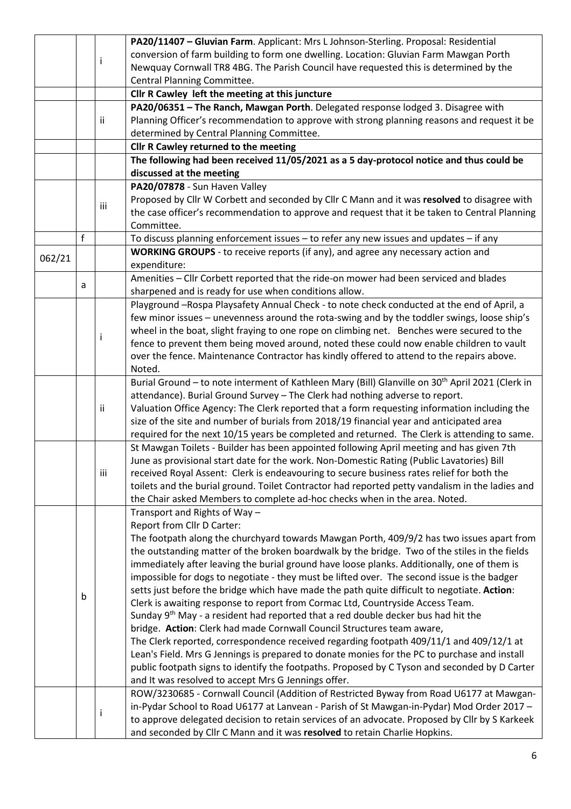|                                                                                          |                                                                                                                                                                                                     |     | PA20/11407 - Gluvian Farm. Applicant: Mrs L Johnson-Sterling. Proposal: Residential                          |  |  |  |  |
|------------------------------------------------------------------------------------------|-----------------------------------------------------------------------------------------------------------------------------------------------------------------------------------------------------|-----|--------------------------------------------------------------------------------------------------------------|--|--|--|--|
|                                                                                          |                                                                                                                                                                                                     |     | conversion of farm building to form one dwelling. Location: Gluvian Farm Mawgan Porth                        |  |  |  |  |
|                                                                                          |                                                                                                                                                                                                     | i.  | Newquay Cornwall TR8 4BG. The Parish Council have requested this is determined by the                        |  |  |  |  |
|                                                                                          |                                                                                                                                                                                                     |     | Central Planning Committee.                                                                                  |  |  |  |  |
|                                                                                          |                                                                                                                                                                                                     |     | Cllr R Cawley left the meeting at this juncture                                                              |  |  |  |  |
|                                                                                          |                                                                                                                                                                                                     |     | PA20/06351 - The Ranch, Mawgan Porth. Delegated response lodged 3. Disagree with                             |  |  |  |  |
|                                                                                          |                                                                                                                                                                                                     | ii. | Planning Officer's recommendation to approve with strong planning reasons and request it be                  |  |  |  |  |
|                                                                                          |                                                                                                                                                                                                     |     | determined by Central Planning Committee.                                                                    |  |  |  |  |
|                                                                                          |                                                                                                                                                                                                     |     | Cllr R Cawley returned to the meeting                                                                        |  |  |  |  |
|                                                                                          |                                                                                                                                                                                                     |     | The following had been received 11/05/2021 as a 5 day-protocol notice and thus could be                      |  |  |  |  |
|                                                                                          |                                                                                                                                                                                                     |     | discussed at the meeting                                                                                     |  |  |  |  |
|                                                                                          |                                                                                                                                                                                                     |     | PA20/07878 - Sun Haven Valley                                                                                |  |  |  |  |
|                                                                                          |                                                                                                                                                                                                     |     | Proposed by Cllr W Corbett and seconded by Cllr C Mann and it was resolved to disagree with                  |  |  |  |  |
|                                                                                          |                                                                                                                                                                                                     | iii | the case officer's recommendation to approve and request that it be taken to Central Planning                |  |  |  |  |
|                                                                                          |                                                                                                                                                                                                     |     | Committee.                                                                                                   |  |  |  |  |
|                                                                                          | f                                                                                                                                                                                                   |     | To discuss planning enforcement issues - to refer any new issues and updates - if any                        |  |  |  |  |
|                                                                                          |                                                                                                                                                                                                     |     | WORKING GROUPS - to receive reports (if any), and agree any necessary action and                             |  |  |  |  |
| 062/21                                                                                   |                                                                                                                                                                                                     |     | expenditure:                                                                                                 |  |  |  |  |
|                                                                                          |                                                                                                                                                                                                     |     |                                                                                                              |  |  |  |  |
|                                                                                          | a                                                                                                                                                                                                   |     | Amenities - Cllr Corbett reported that the ride-on mower had been serviced and blades                        |  |  |  |  |
|                                                                                          |                                                                                                                                                                                                     |     | sharpened and is ready for use when conditions allow.                                                        |  |  |  |  |
|                                                                                          | Playground -Rospa Playsafety Annual Check - to note check conducted at the end of April, a                                                                                                          |     |                                                                                                              |  |  |  |  |
|                                                                                          |                                                                                                                                                                                                     |     | few minor issues - unevenness around the rota-swing and by the toddler swings, loose ship's                  |  |  |  |  |
|                                                                                          |                                                                                                                                                                                                     | i.  | wheel in the boat, slight fraying to one rope on climbing net. Benches were secured to the                   |  |  |  |  |
| fence to prevent them being moved around, noted these could now enable children to vault |                                                                                                                                                                                                     |     |                                                                                                              |  |  |  |  |
|                                                                                          |                                                                                                                                                                                                     |     | over the fence. Maintenance Contractor has kindly offered to attend to the repairs above.                    |  |  |  |  |
|                                                                                          | Noted.                                                                                                                                                                                              |     |                                                                                                              |  |  |  |  |
|                                                                                          |                                                                                                                                                                                                     |     | Burial Ground - to note interment of Kathleen Mary (Bill) Glanville on 30 <sup>th</sup> April 2021 (Clerk in |  |  |  |  |
|                                                                                          |                                                                                                                                                                                                     |     | attendance). Burial Ground Survey - The Clerk had nothing adverse to report.                                 |  |  |  |  |
|                                                                                          |                                                                                                                                                                                                     | ij. | Valuation Office Agency: The Clerk reported that a form requesting information including the                 |  |  |  |  |
|                                                                                          | size of the site and number of burials from 2018/19 financial year and anticipated area<br>required for the next 10/15 years be completed and returned. The Clerk is attending to same.             |     |                                                                                                              |  |  |  |  |
|                                                                                          |                                                                                                                                                                                                     |     |                                                                                                              |  |  |  |  |
|                                                                                          |                                                                                                                                                                                                     |     | St Mawgan Toilets - Builder has been appointed following April meeting and has given 7th                     |  |  |  |  |
|                                                                                          |                                                                                                                                                                                                     |     | June as provisional start date for the work. Non-Domestic Rating (Public Lavatories) Bill                    |  |  |  |  |
|                                                                                          | iii<br>received Royal Assent: Clerk is endeavouring to secure business rates relief for both the<br>toilets and the burial ground. Toilet Contractor had reported petty vandalism in the ladies and |     |                                                                                                              |  |  |  |  |
|                                                                                          |                                                                                                                                                                                                     |     |                                                                                                              |  |  |  |  |
|                                                                                          |                                                                                                                                                                                                     |     | the Chair asked Members to complete ad-hoc checks when in the area. Noted.                                   |  |  |  |  |
|                                                                                          |                                                                                                                                                                                                     |     | Transport and Rights of Way-                                                                                 |  |  |  |  |
|                                                                                          |                                                                                                                                                                                                     |     | Report from Cllr D Carter:                                                                                   |  |  |  |  |
|                                                                                          |                                                                                                                                                                                                     |     | The footpath along the churchyard towards Mawgan Porth, 409/9/2 has two issues apart from                    |  |  |  |  |
|                                                                                          |                                                                                                                                                                                                     |     | the outstanding matter of the broken boardwalk by the bridge. Two of the stiles in the fields                |  |  |  |  |
|                                                                                          |                                                                                                                                                                                                     |     | immediately after leaving the burial ground have loose planks. Additionally, one of them is                  |  |  |  |  |
|                                                                                          |                                                                                                                                                                                                     |     | impossible for dogs to negotiate - they must be lifted over. The second issue is the badger                  |  |  |  |  |
|                                                                                          | b                                                                                                                                                                                                   |     | setts just before the bridge which have made the path quite difficult to negotiate. Action:                  |  |  |  |  |
|                                                                                          |                                                                                                                                                                                                     |     | Clerk is awaiting response to report from Cormac Ltd, Countryside Access Team.                               |  |  |  |  |
|                                                                                          |                                                                                                                                                                                                     |     | Sunday 9 <sup>th</sup> May - a resident had reported that a red double decker bus had hit the                |  |  |  |  |
|                                                                                          |                                                                                                                                                                                                     |     | bridge. Action: Clerk had made Cornwall Council Structures team aware,                                       |  |  |  |  |
|                                                                                          |                                                                                                                                                                                                     |     | The Clerk reported, correspondence received regarding footpath 409/11/1 and 409/12/1 at                      |  |  |  |  |
|                                                                                          |                                                                                                                                                                                                     |     | Lean's Field. Mrs G Jennings is prepared to donate monies for the PC to purchase and install                 |  |  |  |  |
|                                                                                          |                                                                                                                                                                                                     |     | public footpath signs to identify the footpaths. Proposed by C Tyson and seconded by D Carter                |  |  |  |  |
|                                                                                          |                                                                                                                                                                                                     |     | and It was resolved to accept Mrs G Jennings offer.                                                          |  |  |  |  |
|                                                                                          |                                                                                                                                                                                                     |     | ROW/3230685 - Cornwall Council (Addition of Restricted Byway from Road U6177 at Mawgan-                      |  |  |  |  |
|                                                                                          |                                                                                                                                                                                                     |     | in-Pydar School to Road U6177 at Lanvean - Parish of St Mawgan-in-Pydar) Mod Order 2017 -                    |  |  |  |  |
|                                                                                          |                                                                                                                                                                                                     | Ť   | to approve delegated decision to retain services of an advocate. Proposed by Cllr by S Karkeek               |  |  |  |  |
|                                                                                          |                                                                                                                                                                                                     |     | and seconded by Cllr C Mann and it was resolved to retain Charlie Hopkins.                                   |  |  |  |  |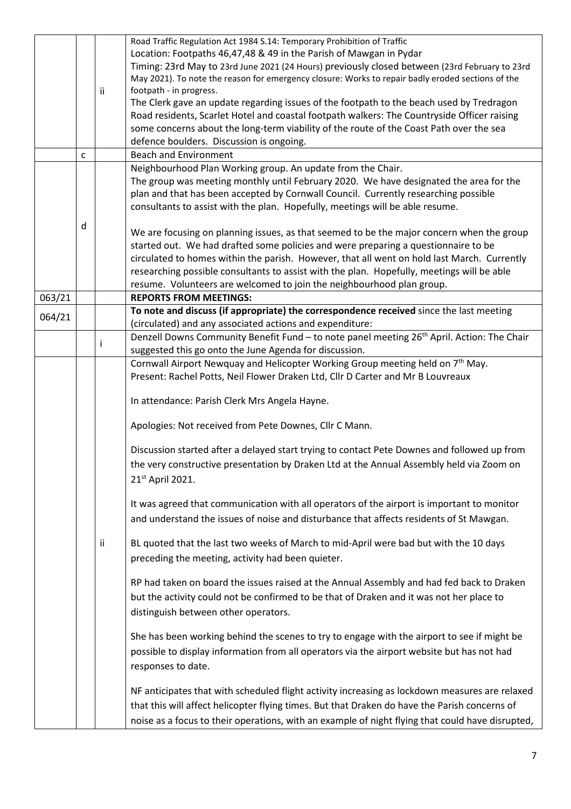|        |                                                                                               |     | Road Traffic Regulation Act 1984 S.14: Temporary Prohibition of Traffic                                                                                             |  |  |  |  |
|--------|-----------------------------------------------------------------------------------------------|-----|---------------------------------------------------------------------------------------------------------------------------------------------------------------------|--|--|--|--|
|        |                                                                                               |     | Location: Footpaths 46,47,48 & 49 in the Parish of Mawgan in Pydar                                                                                                  |  |  |  |  |
|        |                                                                                               |     | Timing: 23rd May to 23rd June 2021 (24 Hours) previously closed between (23rd February to 23rd                                                                      |  |  |  |  |
|        |                                                                                               |     | May 2021). To note the reason for emergency closure: Works to repair badly eroded sections of the                                                                   |  |  |  |  |
|        |                                                                                               | ii. | footpath - in progress.                                                                                                                                             |  |  |  |  |
|        |                                                                                               |     | The Clerk gave an update regarding issues of the footpath to the beach used by Tredragon                                                                            |  |  |  |  |
|        |                                                                                               |     | Road residents, Scarlet Hotel and coastal footpath walkers: The Countryside Officer raising                                                                         |  |  |  |  |
|        |                                                                                               |     | some concerns about the long-term viability of the route of the Coast Path over the sea                                                                             |  |  |  |  |
|        |                                                                                               |     | defence boulders. Discussion is ongoing.                                                                                                                            |  |  |  |  |
|        | $\mathsf{C}$                                                                                  |     | <b>Beach and Environment</b>                                                                                                                                        |  |  |  |  |
|        |                                                                                               |     | Neighbourhood Plan Working group. An update from the Chair.                                                                                                         |  |  |  |  |
|        |                                                                                               |     | The group was meeting monthly until February 2020. We have designated the area for the                                                                              |  |  |  |  |
|        |                                                                                               |     | plan and that has been accepted by Cornwall Council. Currently researching possible                                                                                 |  |  |  |  |
|        |                                                                                               |     | consultants to assist with the plan. Hopefully, meetings will be able resume.                                                                                       |  |  |  |  |
|        |                                                                                               |     |                                                                                                                                                                     |  |  |  |  |
|        | d                                                                                             |     | We are focusing on planning issues, as that seemed to be the major concern when the group                                                                           |  |  |  |  |
|        |                                                                                               |     | started out. We had drafted some policies and were preparing a questionnaire to be                                                                                  |  |  |  |  |
|        |                                                                                               |     | circulated to homes within the parish. However, that all went on hold last March. Currently                                                                         |  |  |  |  |
|        |                                                                                               |     |                                                                                                                                                                     |  |  |  |  |
|        |                                                                                               |     | researching possible consultants to assist with the plan. Hopefully, meetings will be able<br>resume. Volunteers are welcomed to join the neighbourhood plan group. |  |  |  |  |
| 063/21 |                                                                                               |     | <b>REPORTS FROM MEETINGS:</b>                                                                                                                                       |  |  |  |  |
|        |                                                                                               |     | To note and discuss (if appropriate) the correspondence received since the last meeting                                                                             |  |  |  |  |
| 064/21 |                                                                                               |     | (circulated) and any associated actions and expenditure:                                                                                                            |  |  |  |  |
|        |                                                                                               |     | Denzell Downs Community Benefit Fund - to note panel meeting 26 <sup>th</sup> April. Action: The Chair                                                              |  |  |  |  |
|        |                                                                                               | j.  | suggested this go onto the June Agenda for discussion.                                                                                                              |  |  |  |  |
|        |                                                                                               |     |                                                                                                                                                                     |  |  |  |  |
|        |                                                                                               |     | Cornwall Airport Newquay and Helicopter Working Group meeting held on 7 <sup>th</sup> May.                                                                          |  |  |  |  |
|        |                                                                                               |     | Present: Rachel Potts, Neil Flower Draken Ltd, Cllr D Carter and Mr B Louvreaux                                                                                     |  |  |  |  |
|        |                                                                                               |     | In attendance: Parish Clerk Mrs Angela Hayne.                                                                                                                       |  |  |  |  |
|        |                                                                                               |     |                                                                                                                                                                     |  |  |  |  |
|        |                                                                                               |     | Apologies: Not received from Pete Downes, Cllr C Mann.                                                                                                              |  |  |  |  |
|        |                                                                                               |     |                                                                                                                                                                     |  |  |  |  |
|        |                                                                                               |     | Discussion started after a delayed start trying to contact Pete Downes and followed up from                                                                         |  |  |  |  |
|        |                                                                                               |     | the very constructive presentation by Draken Ltd at the Annual Assembly held via Zoom on                                                                            |  |  |  |  |
|        |                                                                                               |     | 21 <sup>st</sup> April 2021.                                                                                                                                        |  |  |  |  |
|        |                                                                                               |     |                                                                                                                                                                     |  |  |  |  |
|        |                                                                                               |     | It was agreed that communication with all operators of the airport is important to monitor                                                                          |  |  |  |  |
|        |                                                                                               |     | and understand the issues of noise and disturbance that affects residents of St Mawgan.                                                                             |  |  |  |  |
|        |                                                                                               |     |                                                                                                                                                                     |  |  |  |  |
|        |                                                                                               | ii. | BL quoted that the last two weeks of March to mid-April were bad but with the 10 days                                                                               |  |  |  |  |
|        |                                                                                               |     |                                                                                                                                                                     |  |  |  |  |
|        |                                                                                               |     | preceding the meeting, activity had been quieter.                                                                                                                   |  |  |  |  |
|        |                                                                                               |     | RP had taken on board the issues raised at the Annual Assembly and had fed back to Draken                                                                           |  |  |  |  |
|        |                                                                                               |     |                                                                                                                                                                     |  |  |  |  |
|        |                                                                                               |     | but the activity could not be confirmed to be that of Draken and it was not her place to                                                                            |  |  |  |  |
|        |                                                                                               |     | distinguish between other operators.                                                                                                                                |  |  |  |  |
|        |                                                                                               |     |                                                                                                                                                                     |  |  |  |  |
|        | She has been working behind the scenes to try to engage with the airport to see if might be   |     |                                                                                                                                                                     |  |  |  |  |
|        | possible to display information from all operators via the airport website but has not had    |     |                                                                                                                                                                     |  |  |  |  |
|        |                                                                                               |     | responses to date.                                                                                                                                                  |  |  |  |  |
|        |                                                                                               |     |                                                                                                                                                                     |  |  |  |  |
|        |                                                                                               |     | NF anticipates that with scheduled flight activity increasing as lockdown measures are relaxed                                                                      |  |  |  |  |
|        | that this will affect helicopter flying times. But that Draken do have the Parish concerns of |     |                                                                                                                                                                     |  |  |  |  |
|        |                                                                                               |     | noise as a focus to their operations, with an example of night flying that could have disrupted,                                                                    |  |  |  |  |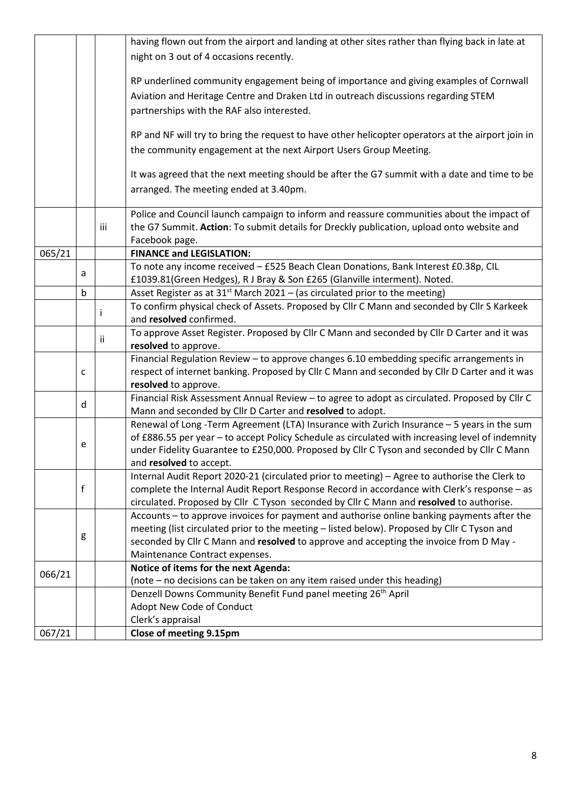|                                                                                               |                                                                |     | having flown out from the airport and landing at other sites rather than flying back in late at                                                                                           |  |  |  |  |  |
|-----------------------------------------------------------------------------------------------|----------------------------------------------------------------|-----|-------------------------------------------------------------------------------------------------------------------------------------------------------------------------------------------|--|--|--|--|--|
|                                                                                               |                                                                |     | night on 3 out of 4 occasions recently.                                                                                                                                                   |  |  |  |  |  |
|                                                                                               |                                                                |     |                                                                                                                                                                                           |  |  |  |  |  |
|                                                                                               |                                                                |     | RP underlined community engagement being of importance and giving examples of Cornwall                                                                                                    |  |  |  |  |  |
|                                                                                               |                                                                |     | Aviation and Heritage Centre and Draken Ltd in outreach discussions regarding STEM                                                                                                        |  |  |  |  |  |
|                                                                                               |                                                                |     | partnerships with the RAF also interested.                                                                                                                                                |  |  |  |  |  |
|                                                                                               |                                                                |     |                                                                                                                                                                                           |  |  |  |  |  |
|                                                                                               |                                                                |     | RP and NF will try to bring the request to have other helicopter operators at the airport join in                                                                                         |  |  |  |  |  |
|                                                                                               |                                                                |     | the community engagement at the next Airport Users Group Meeting.                                                                                                                         |  |  |  |  |  |
|                                                                                               |                                                                |     |                                                                                                                                                                                           |  |  |  |  |  |
|                                                                                               |                                                                |     | It was agreed that the next meeting should be after the G7 summit with a date and time to be                                                                                              |  |  |  |  |  |
|                                                                                               |                                                                |     | arranged. The meeting ended at 3.40pm.                                                                                                                                                    |  |  |  |  |  |
|                                                                                               |                                                                |     | Police and Council launch campaign to inform and reassure communities about the impact of                                                                                                 |  |  |  |  |  |
|                                                                                               |                                                                | iii | the G7 Summit. Action: To submit details for Dreckly publication, upload onto website and                                                                                                 |  |  |  |  |  |
|                                                                                               |                                                                |     | Facebook page.                                                                                                                                                                            |  |  |  |  |  |
| 065/21                                                                                        |                                                                |     | <b>FINANCE and LEGISLATION:</b>                                                                                                                                                           |  |  |  |  |  |
|                                                                                               | a                                                              |     | To note any income received - £525 Beach Clean Donations, Bank Interest £0.38p, CIL                                                                                                       |  |  |  |  |  |
|                                                                                               |                                                                |     | £1039.81(Green Hedges), R J Bray & Son £265 (Glanville interment). Noted.                                                                                                                 |  |  |  |  |  |
|                                                                                               | b                                                              |     | Asset Register as at $31st$ March 2021 – (as circulated prior to the meeting)                                                                                                             |  |  |  |  |  |
|                                                                                               |                                                                | T   | To confirm physical check of Assets. Proposed by Cllr C Mann and seconded by Cllr S Karkeek                                                                                               |  |  |  |  |  |
|                                                                                               |                                                                |     | and resolved confirmed.<br>To approve Asset Register. Proposed by Cllr C Mann and seconded by Cllr D Carter and it was                                                                    |  |  |  |  |  |
|                                                                                               |                                                                | ij  | resolved to approve.                                                                                                                                                                      |  |  |  |  |  |
|                                                                                               |                                                                |     | Financial Regulation Review - to approve changes 6.10 embedding specific arrangements in                                                                                                  |  |  |  |  |  |
|                                                                                               | C                                                              |     | respect of internet banking. Proposed by Cllr C Mann and seconded by Cllr D Carter and it was                                                                                             |  |  |  |  |  |
|                                                                                               |                                                                |     | resolved to approve.                                                                                                                                                                      |  |  |  |  |  |
| Financial Risk Assessment Annual Review - to agree to adopt as circulated. Proposed by ClIr C |                                                                |     |                                                                                                                                                                                           |  |  |  |  |  |
|                                                                                               | d<br>Mann and seconded by Cllr D Carter and resolved to adopt. |     |                                                                                                                                                                                           |  |  |  |  |  |
|                                                                                               |                                                                |     | Renewal of Long -Term Agreement (LTA) Insurance with Zurich Insurance - 5 years in the sum                                                                                                |  |  |  |  |  |
|                                                                                               | e                                                              |     | of £886.55 per year - to accept Policy Schedule as circulated with increasing level of indemnity                                                                                          |  |  |  |  |  |
|                                                                                               |                                                                |     | under Fidelity Guarantee to £250,000. Proposed by Cllr C Tyson and seconded by Cllr C Mann                                                                                                |  |  |  |  |  |
|                                                                                               |                                                                |     | and resolved to accept.                                                                                                                                                                   |  |  |  |  |  |
|                                                                                               |                                                                |     | Internal Audit Report 2020-21 (circulated prior to meeting) - Agree to authorise the Clerk to                                                                                             |  |  |  |  |  |
|                                                                                               | f                                                              |     | complete the Internal Audit Report Response Record in accordance with Clerk's response - as                                                                                               |  |  |  |  |  |
|                                                                                               |                                                                |     | circulated. Proposed by Cllr C Tyson seconded by Cllr C Mann and resolved to authorise.                                                                                                   |  |  |  |  |  |
|                                                                                               |                                                                |     | Accounts - to approve invoices for payment and authorise online banking payments after the<br>meeting (list circulated prior to the meeting - listed below). Proposed by Cllr C Tyson and |  |  |  |  |  |
|                                                                                               | g                                                              |     | seconded by Cllr C Mann and resolved to approve and accepting the invoice from D May -                                                                                                    |  |  |  |  |  |
|                                                                                               |                                                                |     | Maintenance Contract expenses.                                                                                                                                                            |  |  |  |  |  |
|                                                                                               |                                                                |     | Notice of items for the next Agenda:                                                                                                                                                      |  |  |  |  |  |
| 066/21                                                                                        |                                                                |     | (note – no decisions can be taken on any item raised under this heading)                                                                                                                  |  |  |  |  |  |
|                                                                                               |                                                                |     | Denzell Downs Community Benefit Fund panel meeting 26 <sup>th</sup> April                                                                                                                 |  |  |  |  |  |
|                                                                                               |                                                                |     | Adopt New Code of Conduct                                                                                                                                                                 |  |  |  |  |  |
|                                                                                               |                                                                |     | Clerk's appraisal                                                                                                                                                                         |  |  |  |  |  |
| 067/21                                                                                        |                                                                |     | Close of meeting 9.15pm                                                                                                                                                                   |  |  |  |  |  |